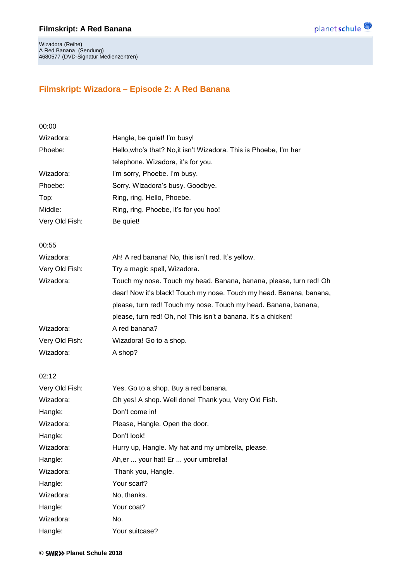

Wizadora (Reihe) A Red Banana (Sendung) 4680577 (DVD-Signatur Medienzentren)

## **Filmskript: Wizadora – Episode 2: A Red Banana**

| 00:00          |                                                                     |
|----------------|---------------------------------------------------------------------|
| Wizadora:      | Hangle, be quiet! I'm busy!                                         |
| Phoebe:        | Hello, who's that? No, it isn't Wizadora. This is Phoebe, I'm her   |
|                | telephone. Wizadora, it's for you.                                  |
| Wizadora:      | I'm sorry, Phoebe. I'm busy.                                        |
| Phoebe:        | Sorry. Wizadora's busy. Goodbye.                                    |
| Top:           | Ring, ring. Hello, Phoebe.                                          |
| Middle:        | Ring, ring. Phoebe, it's for you hoo!                               |
| Very Old Fish: | Be quiet!                                                           |
| 00:55          |                                                                     |
| Wizadora:      | Ah! A red banana! No, this isn't red. It's yellow.                  |
| Very Old Fish: | Try a magic spell, Wizadora.                                        |
| Wizadora:      | Touch my nose. Touch my head. Banana, banana, please, turn red! Oh  |
|                | dear! Now it's black! Touch my nose. Touch my head. Banana, banana, |
|                | please, turn red! Touch my nose. Touch my head. Banana, banana,     |
|                | please, turn red! Oh, no! This isn't a banana. It's a chicken!      |
| Wizadora:      | A red banana?                                                       |
| Very Old Fish: | Wizadora! Go to a shop.                                             |
| Wizadora:      | A shop?                                                             |
| 02:12          |                                                                     |
| Very Old Fish: | Yes. Go to a shop. Buy a red banana.                                |
| Wizadora:      | Oh yes! A shop. Well done! Thank you, Very Old Fish.                |
| Hangle:        | Don't come in!                                                      |
| Wizadora:      | Please, Hangle. Open the door.                                      |
| Hangle:        | Don't look!                                                         |
| Wizadora:      | Hurry up, Hangle. My hat and my umbrella, please.                   |
| Hangle:        | Ah, er  your hat! Er  your umbrella!                                |
| Wizadora:      | Thank you, Hangle.                                                  |
| Hangle:        | Your scarf?                                                         |
| Wizadora:      | No, thanks.                                                         |
| Hangle:        | Your coat?                                                          |
| Wizadora:      | No.                                                                 |
| Hangle:        | Your suitcase?                                                      |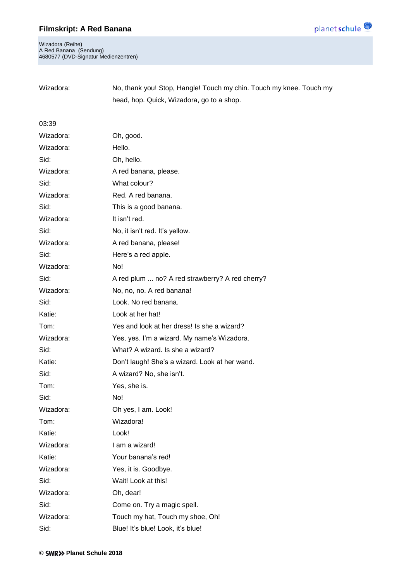

Wizadora (Reihe) A Red Banana (Sendung) 4680577 (DVD-Signatur Medienzentren)

| Wizadora: | No, thank you! Stop, Hangle! Touch my chin. Touch my knee. Touch my |
|-----------|---------------------------------------------------------------------|
|           | head, hop. Quick, Wizadora, go to a shop.                           |

#### 03:39

| Wizadora: | Oh, good.                                       |
|-----------|-------------------------------------------------|
| Wizadora: | Hello.                                          |
| Sid:      | Oh, hello.                                      |
| Wizadora: | A red banana, please.                           |
| Sid:      | What colour?                                    |
| Wizadora: | Red. A red banana.                              |
| Sid:      | This is a good banana.                          |
| Wizadora: | It isn't red.                                   |
| Sid:      | No, it isn't red. It's yellow.                  |
| Wizadora: | A red banana, please!                           |
| Sid:      | Here's a red apple.                             |
| Wizadora: | No!                                             |
| Sid:      | A red plum  no? A red strawberry? A red cherry? |
| Wizadora: | No, no, no. A red banana!                       |
| Sid:      | Look. No red banana.                            |
| Katie:    | Look at her hat!                                |
| Tom:      | Yes and look at her dress! Is she a wizard?     |
| Wizadora: | Yes, yes. I'm a wizard. My name's Wizadora.     |
| Sid:      | What? A wizard. Is she a wizard?                |
| Katie:    | Don't laugh! She's a wizard. Look at her wand.  |
| Sid:      | A wizard? No, she isn't.                        |
| Tom:      | Yes, she is.                                    |
| Sid:      | No!                                             |
| Wizadora: | Oh yes, I am. Look!                             |
| Tom:      | Wizadora!                                       |
| Katie:    | Look!                                           |
|           |                                                 |
| Wizadora: | I am a wizard!                                  |
| Katie:    | Your banana's red!                              |
| Wizadora: | Yes, it is. Goodbye.                            |
| Sid:      | Wait! Look at this!                             |
| Wizadora: | Oh, dear!                                       |
| Sid:      | Come on. Try a magic spell.                     |
| Wizadora: | Touch my hat, Touch my shoe, Oh!                |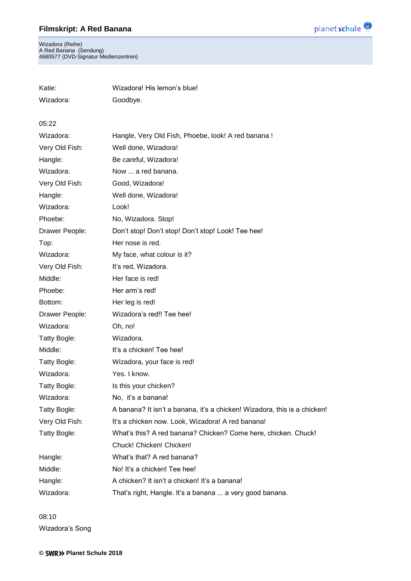Wizadora (Reihe) A Red Banana (Sendung) 4680577 (DVD-Signatur Medienzentren)

Katie: Wizadora! His lemon's blue!

| Wizadora:      | Goodbye.                                                                  |
|----------------|---------------------------------------------------------------------------|
| 05:22          |                                                                           |
| Wizadora:      | Hangle, Very Old Fish, Phoebe, look! A red banana !                       |
| Very Old Fish: | Well done, Wizadora!                                                      |
| Hangle:        | Be careful, Wizadora!                                                     |
| Wizadora:      | Now  a red banana.                                                        |
| Very Old Fish: | Good, Wizadora!                                                           |
| Hangle:        | Well done, Wizadora!                                                      |
| Wizadora:      | Look!                                                                     |
| Phoebe:        | No, Wizadora. Stop!                                                       |
| Drawer People: | Don't stop! Don't stop! Don't stop! Look! Tee hee!                        |
| Top:           | Her nose is red.                                                          |
| Wizadora:      | My face, what colour is it?                                               |
| Very Old Fish: | It's red, Wizadora.                                                       |
| Middle:        | Her face is red!                                                          |
| Phoebe:        | Her arm's red!                                                            |
| Bottom:        | Her leg is red!                                                           |
| Drawer People: | Wizadora's red!! Tee hee!                                                 |
| Wizadora:      | Oh, no!                                                                   |
| Tatty Bogle:   | Wizadora.                                                                 |
| Middle:        | It's a chicken! Tee hee!                                                  |
| Tatty Bogle:   | Wizadora, your face is red!                                               |
| Wizadora:      | Yes. I know.                                                              |
| Tatty Bogle:   | Is this your chicken?                                                     |
| Wizadora:      | No, it's a banana!                                                        |
| Tatty Bogle:   | A banana? It isn't a banana, it's a chicken! Wizadora, this is a chicken! |
| Very Old Fish: | It's a chicken now. Look, Wizadora! A red banana!                         |
| Tatty Bogle:   | What's this? A red banana? Chicken? Come here, chicken. Chuck!            |
|                | Chuck! Chicken! Chicken!                                                  |
| Hangle:        | What's that? A red banana?                                                |
| Middle:        | No! It's a chicken! Tee hee!                                              |
| Hangle:        | A chicken? It isn't a chicken! It's a banana!                             |
| Wizadora:      | That's right, Hangle. It's a banana  a very good banana.                  |
|                |                                                                           |

08:10 Wizadora's Song

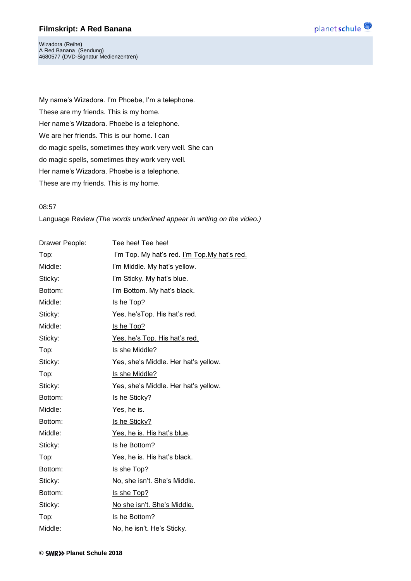

Wizadora (Reihe) A Red Banana (Sendung) 4680577 (DVD-Signatur Medienzentren)

My name's Wizadora. I'm Phoebe, I'm a telephone. These are my friends. This is my home. Her name's Wizadora. Phoebe is a telephone. We are her friends. This is our home. I can do magic spells, sometimes they work very well. She can do magic spells, sometimes they work very well. Her name's Wizadora. Phoebe is a telephone. These are my friends. This is my home.

#### 08:57

Language Review *(The words underlined appear in writing on the video.)*

| Drawer People: | Tee hee! Tee hee!                             |
|----------------|-----------------------------------------------|
| Top:           | I'm Top. My hat's red. I'm Top. My hat's red. |
| Middle:        | I'm Middle. My hat's yellow.                  |
| Sticky:        | I'm Sticky. My hat's blue.                    |
| Bottom:        | I'm Bottom. My hat's black.                   |
| Middle:        | Is he Top?                                    |
| Sticky:        | Yes, he's Top. His hat's red.                 |
| Middle:        | Is he Top?                                    |
| Sticky:        | Yes, he's Top. His hat's red.                 |
| Top:           | Is she Middle?                                |
| Sticky:        | Yes, she's Middle. Her hat's yellow.          |
| Top:           | Is she Middle?                                |
| Sticky:        | Yes, she's Middle. Her hat's yellow.          |
| Bottom:        | Is he Sticky?                                 |
| Middle:        | Yes, he is.                                   |
| Bottom:        | Is he Sticky?                                 |
| Middle:        | Yes, he is. His hat's blue.                   |
| Sticky:        | Is he Bottom?                                 |
| Top:           | Yes, he is. His hat's black.                  |
| Bottom:        | Is she Top?                                   |
| Sticky:        | No, she isn't. She's Middle.                  |
| Bottom:        | Is she Top?                                   |
| Sticky:        | No she isn't. She's Middle.                   |
| Top:           | Is he Bottom?                                 |
| Middle:        | No, he isn't. He's Sticky.                    |